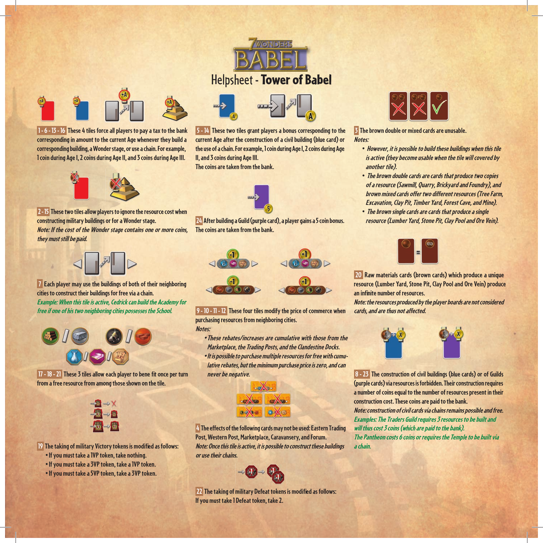

 **1 - 6 - 13 - 16 These 4 tiles force all players to pay a tax to the bank corresponding in amount to the current Age whenever they build a corresponding building, a Wonder stage, or use a chain. For example, 1 coin during Age I, 2 coins during Age II, and 3 coins during Age III.**



 **2 - 15 These two tiles allow players to ignore the resource cost when constructing military buildings or for a Wonder stage. Note: If the cost of the Wonder stage contains one or more coins, they must still be paid.**



 **7 Each player may use the buildings of both of their neighboring cities to construct their buildings for free via a chain. Example: When this tile is active, Cedrick can build the Academy for free if one of his two neighboring cities possesses the School.**



 **17 - 18 - 21** These 3 tiles allow each player to bene fit once per turn **from a free resource from among those shown on the tile.**



**19 The taking of military Victory tokens is modified as follows:** 

- **If you must take a 1VP token, take nothing.**
- **If you must take a 3VP token, take a 1VP token.**
- **If you must take a 5VP token, take a 3VP token.**



 **5 - 14 These two tiles grant players a bonus corresponding to the current Age after the construction of a civil building (blue card) or the use of a chain. For example, 1 coin during Age I, 2 coins during Age II, and 3 coins during Age III.**

**The coins are taken from the bank.**



 **24 After building a Guild (purple card), a player gains a 5 coin bonus. The coins are taken from the bank.**



 **9 - 10 - 11 - 12 These four tiles modify the price of commerce when purchasing resources from neighboring cities. Notes:**

- **These rebates/increases are cumulative with those from the Marketplace, the Trading Posts, and the Clandestine Docks.**
- **It is possible to purchase multiple resources for free with cumulative rebates, but the minimum purchase price is zero, and can never be negative.**



 **4 The effects of the following cards may not be used: Eastern Trading Post, Western Post, Marketplace, Caravansery, and Forum. Note: Once this tile is active, it is possible to construct these buildings or use their chains.**



 **22 The taking of military Defeat tokens is modified as follows: If you must take 1 Defeat token, take 2.**



 **3 The brown double or mixed cards are unusable. Notes:**

- **However, it is possible to build these buildings when this tile is active (they become usable when the tile will covered by another tile).**
- **The brown double cards are cards that produce two copies of a resource (Sawmill, Quarry, Brickyard and Foundry), and brown mixed cards offer two different resources (Tree Farm, Excavation, Clay Pit, Timber Yard, Forest Cave, and Mine).**
- **The brown single cards are cards that produce a single resource (Lumber Yard, Stone Pit, Clay Pool and Ore Vein).**



 **20 Raw materials cards (brown cards) which produce a unique resource (Lumber Yard, Stone Pit, Clay Pool and Ore Vein) produce**  an infinite number of resources.

**Note: the resources produced by the player boards are not considered cards, and are thus not affected.**



 **8 - 23 The construction of civil buildings (blue cards) or of Guilds (purple cards) via resources is forbidden. Their construction requires a number of coins equal to the number of resources present in their construction cost. These coins are paid to the bank. Note: construction of civil cards via chains remains possible and free. Examples: The Traders Guild requires 3 resources to be built and will thus cost 3 coins (which are paid to the bank). The Pantheon costs 6 coins or requires the Temple to be built via a chain.**